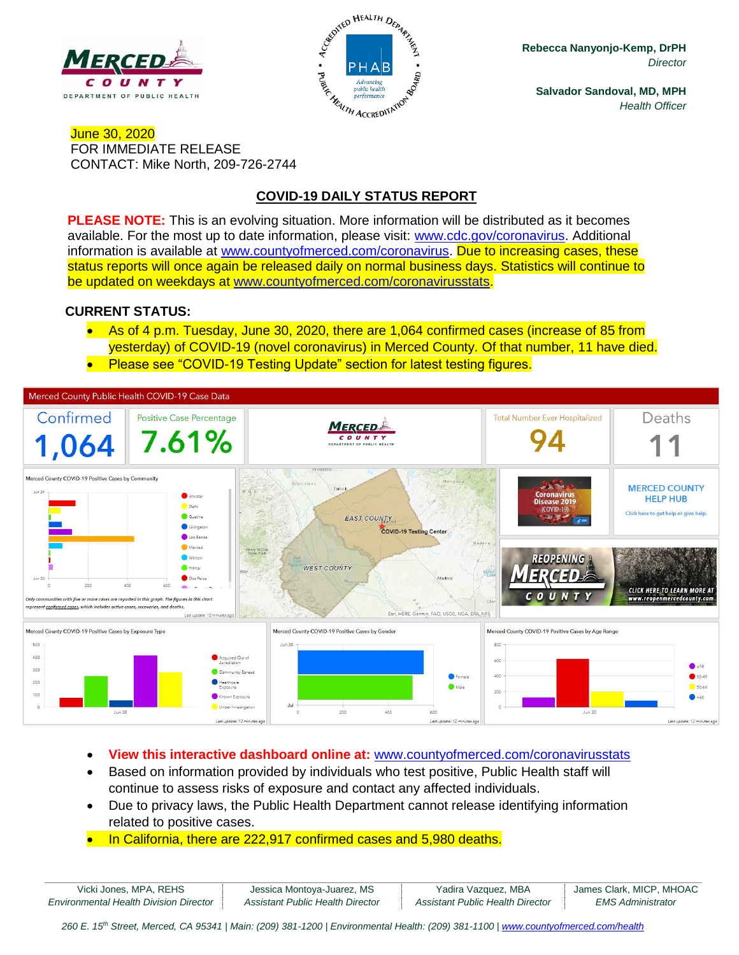



**Rebecca Nanyonjo-Kemp, DrPH** *Director*

**Salvador Sandoval, MD, MPH** *Health Officer*

#### June 30, 2020 FOR IMMEDIATE RELEASE CONTACT: Mike North, 209-726-2744

# **COVID-19 DAILY STATUS REPORT**

**PLEASE NOTE:** This is an evolving situation. More information will be distributed as it becomes available. For the most up to date information, please visit: [www.cdc.gov/coronavirus.](http://www.cdc.gov/coronavirus) Additional information is available at [www.countyofmerced.com/coronavirus.](http://www.countyofmerced.com/coronavirus) Due to increasing cases, these status reports will once again be released daily on normal business days. Statistics will continue to be updated on weekdays at [www.countyofmerced.com/coronavirusstats.](http://www.countyofmerced.com/coronavirusstats)

#### **CURRENT STATUS:**

• As of 4 p.m. Tuesday, June 30, 2020, there are 1,064 confirmed cases (increase of 85 from yesterday) of COVID-19 (novel coronavirus) in Merced County. Of that number, 11 have died. • Please see "COVID-19 Testing Update" section for latest testing figures.



- **View this interactive dashboard online at:** [www.countyofmerced.com/coronavirusstats](http://www.countyofmerced.com/coronavirusstats)
- Based on information provided by individuals who test positive, Public Health staff will continue to assess risks of exposure and contact any affected individuals.
- Due to privacy laws, the Public Health Department cannot release identifying information related to positive cases.
- In California, there are 222,917 confirmed cases and 5,980 deaths.

| Vicki Jones, MPA, REHS                 | Jessica Montoya-Juarez, MS       | Yadira Vazquez, MBA              | James Clark, MICP, MHOAC |
|----------------------------------------|----------------------------------|----------------------------------|--------------------------|
| Environmental Health Division Director | Assistant Public Health Director | Assistant Public Health Director | <b>EMS Administrator</b> |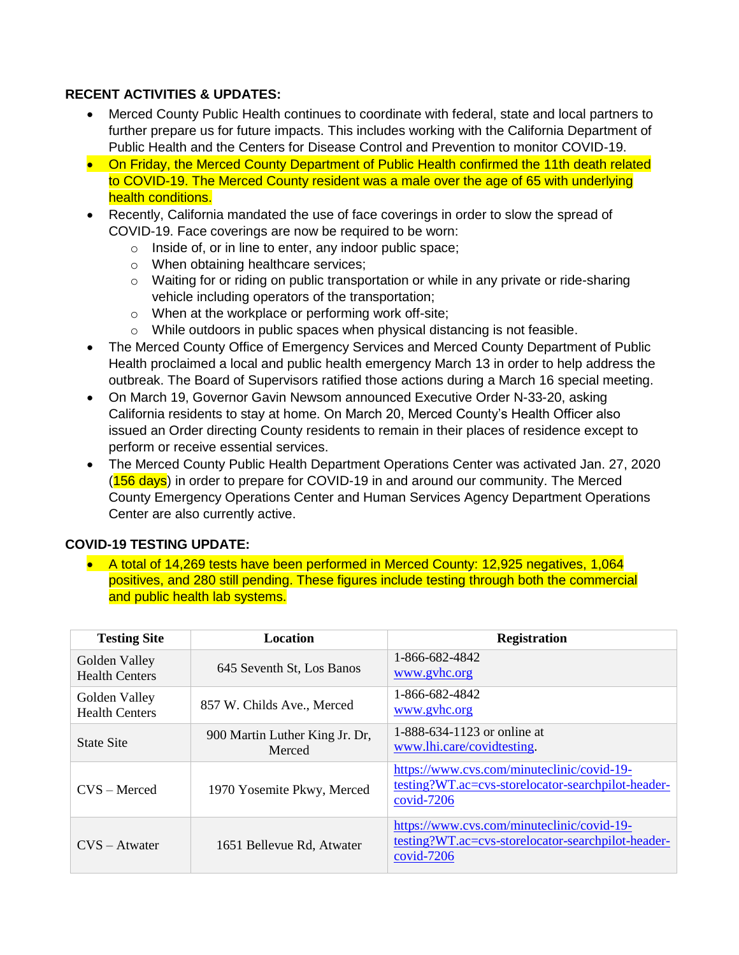### **RECENT ACTIVITIES & UPDATES:**

- Merced County Public Health continues to coordinate with federal, state and local partners to further prepare us for future impacts. This includes working with the California Department of Public Health and the Centers for Disease Control and Prevention to monitor COVID-19.
- On Friday, the Merced County Department of Public Health confirmed the 11th death related to COVID-19. The Merced County resident was a male over the age of 65 with underlying health conditions.
- Recently, California mandated the use of face coverings in order to slow the spread of COVID-19. Face coverings are now be required to be worn:
	- o Inside of, or in line to enter, any indoor public space;
	- o When obtaining healthcare services;
	- $\circ$  Waiting for or riding on public transportation or while in any private or ride-sharing vehicle including operators of the transportation;
	- o When at the workplace or performing work off-site;
	- o While outdoors in public spaces when physical distancing is not feasible.
- The Merced County Office of Emergency Services and Merced County Department of Public Health proclaimed a local and public health emergency March 13 in order to help address the outbreak. The Board of Supervisors ratified those actions during a March 16 special meeting.
- On March 19, Governor Gavin Newsom announced Executive Order N-33-20, asking California residents to stay at home. On March 20, Merced County's Health Officer also issued an Order directing County residents to remain in their places of residence except to perform or receive essential services.
- The Merced County Public Health Department Operations Center was activated Jan. 27, 2020 (156 days) in order to prepare for COVID-19 in and around our community. The Merced County Emergency Operations Center and Human Services Agency Department Operations Center are also currently active.

## **COVID-19 TESTING UPDATE:**

• A total of 14,269 tests have been performed in Merced County: 12,925 negatives, 1,064 positives, and 280 still pending. These figures include testing through both the commercial and public health lab systems.

| <b>Testing Site</b>                    | Location                                 | <b>Registration</b>                                                                                                               |
|----------------------------------------|------------------------------------------|-----------------------------------------------------------------------------------------------------------------------------------|
| Golden Valley<br><b>Health Centers</b> | 645 Seventh St, Los Banos                | 1-866-682-4842<br>www.gyhc.org                                                                                                    |
| Golden Valley<br><b>Health Centers</b> | 857 W. Childs Ave., Merced               | 1-866-682-4842<br>www.gyhc.org                                                                                                    |
| <b>State Site</b>                      | 900 Martin Luther King Jr. Dr,<br>Merced | 1-888-634-1123 or online at<br>www.lhi.care/covidtesting.                                                                         |
| $CVS - Merced$                         | 1970 Yosemite Pkwy, Merced               | https://www.cvs.com/minuteclinic/covid-19-<br>testing?WT.ac=cvs-storelocator-searchpilot-header-<br>$covid-7206$                  |
| $CVS - Atwater$                        | 1651 Bellevue Rd, Atwater                | https://www.cvs.com/minuteclinic/covid-19-<br>testing?WT.ac=cvs-storelocator-searchpilot-header-<br>$\frac{\text{covid-7206}}{2}$ |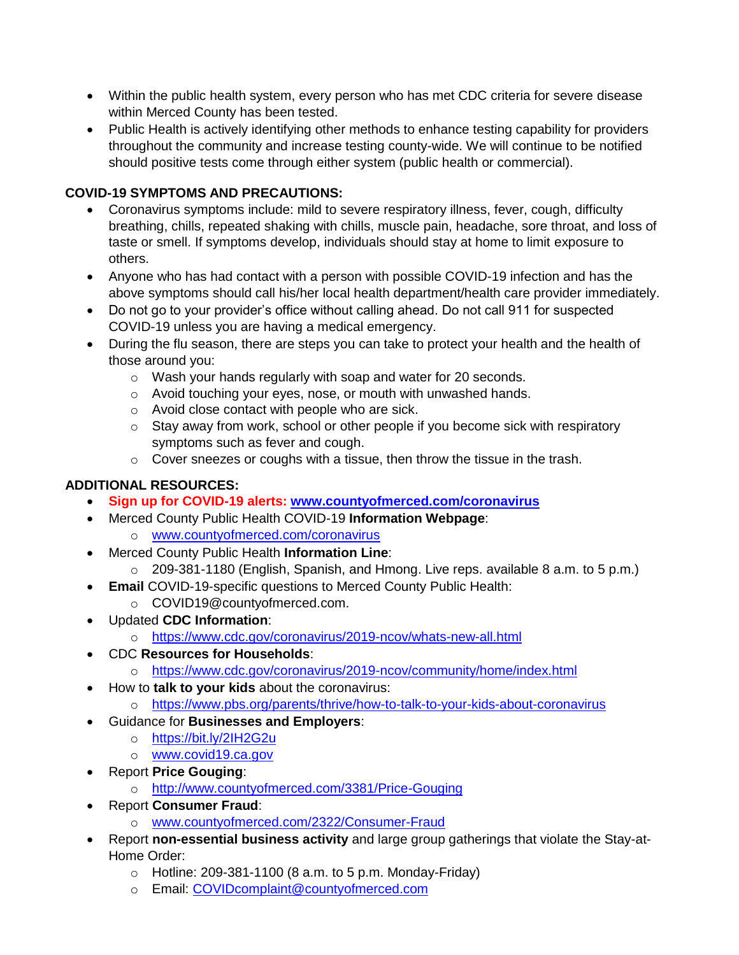- Within the public health system, every person who has met CDC criteria for severe disease within Merced County has been tested.
- Public Health is actively identifying other methods to enhance testing capability for providers throughout the community and increase testing county-wide. We will continue to be notified should positive tests come through either system (public health or commercial).

## **COVID-19 SYMPTOMS AND PRECAUTIONS:**

- Coronavirus symptoms include: mild to severe respiratory illness, fever, cough, difficulty breathing, chills, repeated shaking with chills, muscle pain, headache, sore throat, and loss of taste or smell. If symptoms develop, individuals should stay at home to limit exposure to others.
- Anyone who has had contact with a person with possible COVID-19 infection and has the above symptoms should call his/her local health department/health care provider immediately.
- Do not go to your provider's office without calling ahead. Do not call 911 for suspected COVID-19 unless you are having a medical emergency.
- During the flu season, there are steps you can take to protect your health and the health of those around you:
	- o Wash your hands regularly with soap and water for 20 seconds.
	- o Avoid touching your eyes, nose, or mouth with unwashed hands.
	- o Avoid close contact with people who are sick.
	- o Stay away from work, school or other people if you become sick with respiratory symptoms such as fever and cough.
	- $\circ$  Cover sneezes or coughs with a tissue, then throw the tissue in the trash.

# **ADDITIONAL RESOURCES:**

- **Sign up for COVID-19 alerts: [www.countyofmerced.com/coronavirus](http://www.countyofmerced.com/coronavirus)**
- Merced County Public Health COVID-19 **Information Webpage**:
	- o [www.countyofmerced.com/coronavirus](http://www.countyofmerced.com/coronavirus)
- Merced County Public Health **Information Line**:
	- o 209-381-1180 (English, Spanish, and Hmong. Live reps. available 8 a.m. to 5 p.m.)
- **Email** COVID-19-specific questions to Merced County Public Health:
	- o COVID19@countyofmerced.com.
- Updated **CDC Information**:
	- o <https://www.cdc.gov/coronavirus/2019-ncov/whats-new-all.html>
- CDC **Resources for Households**:
	- o <https://www.cdc.gov/coronavirus/2019-ncov/community/home/index.html>
- How to **talk to your kids** about the coronavirus:
	- o <https://www.pbs.org/parents/thrive/how-to-talk-to-your-kids-about-coronavirus>
- Guidance for **Businesses and Employers**:
	- o <https://bit.ly/2IH2G2u>
	- o [www.covid19.ca.gov](http://www.covid19.ca.gov/)
- Report **Price Gouging**:
	- o <http://www.countyofmerced.com/3381/Price-Gouging>
- Report **Consumer Fraud**:
	- o [www.countyofmerced.com/2322/Consumer-Fraud](http://www.countyofmerced.com/2322/Consumer-Fraud)
- Report **non-essential business activity** and large group gatherings that violate the Stay-at-Home Order:
	- $\circ$  Hotline: 209-381-1100 (8 a.m. to 5 p.m. Monday-Friday)
	- o Email: [COVIDcomplaint@countyofmerced.com](mailto:COVIDcomplaint@countyofmerced.com)